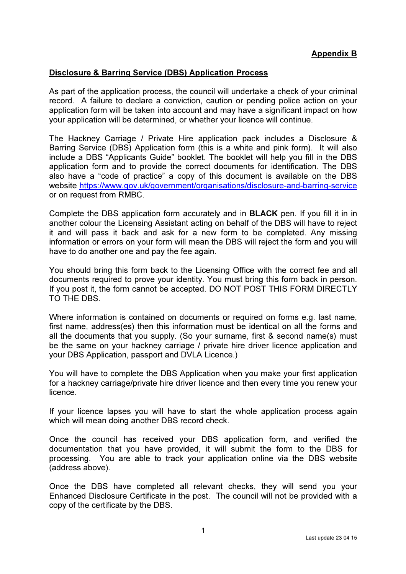## Disclosure & Barring Service (DBS) Application Process

As part of the application process, the council will undertake a check of your criminal record. A failure to declare a conviction, caution or pending police action on your application form will be taken into account and may have a significant impact on how your application will be determined, or whether your licence will continue.

The Hackney Carriage / Private Hire application pack includes a Disclosure & Barring Service (DBS) Application form (this is a white and pink form). It will also include a DBS "Applicants Guide" booklet. The booklet will help you fill in the DBS application form and to provide the correct documents for identification. The DBS also have a "code of practice" a copy of this document is available on the DBS website https://www.gov.uk/government/organisations/disclosure-and-barring-service or on request from RMBC.

Complete the DBS application form accurately and in BLACK pen. If you fill it in in another colour the Licensing Assistant acting on behalf of the DBS will have to reject it and will pass it back and ask for a new form to be completed. Any missing information or errors on your form will mean the DBS will reject the form and you will have to do another one and pay the fee again.

You should bring this form back to the Licensing Office with the correct fee and all documents required to prove your identity. You must bring this form back in person. If you post it, the form cannot be accepted. DO NOT POST THIS FORM DIRECTLY TO THE DBS.

Where information is contained on documents or required on forms e.g. last name, first name, address(es) then this information must be identical on all the forms and all the documents that you supply. (So your surname, first & second name(s) must be the same on your hackney carriage / private hire driver licence application and your DBS Application, passport and DVLA Licence.)

You will have to complete the DBS Application when you make your first application for a hackney carriage/private hire driver licence and then every time you renew your licence.

If your licence lapses you will have to start the whole application process again which will mean doing another DBS record check.

Once the council has received your DBS application form, and verified the documentation that you have provided, it will submit the form to the DBS for processing. You are able to track your application online via the DBS website (address above).

Once the DBS have completed all relevant checks, they will send you your Enhanced Disclosure Certificate in the post. The council will not be provided with a copy of the certificate by the DBS.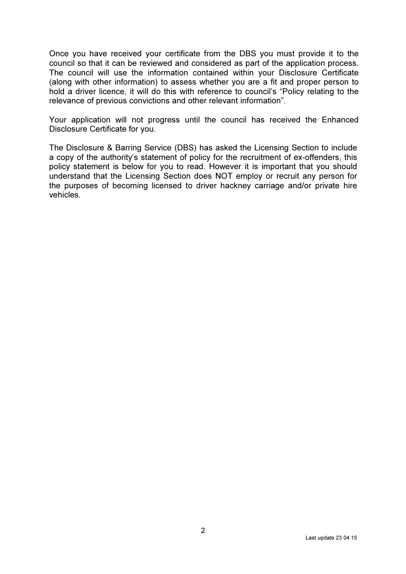Once you have received your certificate from the DBS you must provide it to the council so that it can be reviewed and considered as part of the application process. The council will use the information contained within your Disclosure Certificate (along with other information) to assess whether you are a fit and proper person to hold a driver licence, it will do this with reference to council's "Policy relating to the relevance of previous convictions and other relevant information".

Your application will not progress until the council has received the Enhanced Disclosure Certificate for you.

The Disclosure & Barring Service (DBS) has asked the Licensing Section to include a copy of the authority's statement of policy for the recruitment of ex-offenders, this policy statement is below for you to read. However it is important that you should understand that the Licensing Section does NOT employ or recruit any person for the purposes of becoming licensed to driver hackney carriage and/or private hire vehicles.